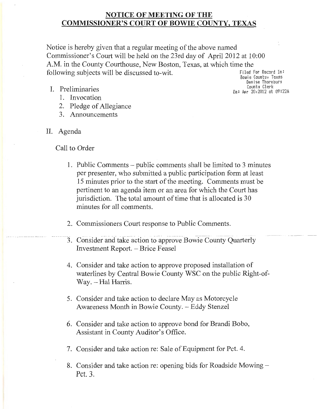# **NOTICE OF MEETING OF THE COMMISSIONER'S COURT OF BOWIE COUNTY, TEXAS**

Notice is hereby given that a regular meeting of the above named Commissioner's Court will be held on the 23rd day of April2012 at 10:00 A.M. in the County Courthouse, New Boston, Texas, at which time the<br>following subjects will be discussed to-wit following subjects will be discussed to-wit.

 $Bowie$  County, Texas **Oenise Thornburg** I. Preliminaries  $\frac{1}{2}$  Preliminaries  $\frac{1}{2}$  Preliminaries  $\frac{1}{2}$ 

- 1. Invocation
- 2. Pledge of Allegiance
- 3. Announcements
- II. Agenda

Call to Order

- 1. Public Comments public comments shall be limited to 3 minutes per presenter, who submitted a public participation form at least 15 minutes prior to the start of the meeting. Comments must be pertinent to an agenda item or an area for which the Court has jurisdiction. The total amount of time that is allocated is 30 minutes for all comments.
- 2. Commissioners Court response to Public Comments.
- 3. Consider and take action to approve Bowie County Quarterly Investment Report. - Brice Feasel
	- 4. Consider and take action to approve proposed installation of waterlines by Central Bowie County WSC on the public Right-of-Way. - Hal Harris.
	- 5. Consider and take action to declare May as Motorcycle Awareness Month in Bowie County. - Eddy Stenzel
	- 6. Consider and take action to approve bond for Brandi Bobo, Assistant in County Auditor's Office.
	- 7. Consider and take action re: Sale of Equipment for Pet. 4.
	- 8. Consider and take action re: opening bids for Roadside Mowing-Pet. 3.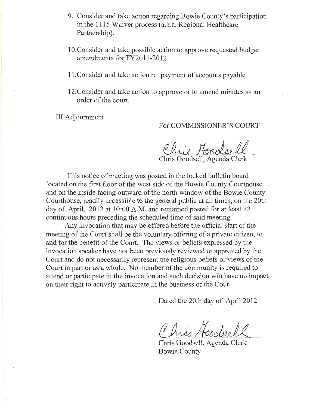- 9. Consider and take action regarding Bowie County's participation in the 1115 Waiver process (a.k.a. Regional Healthcare Partnership).
- 1 O.Consider and take possible action to approve requested budget amendments for FY2011-2012
- 11. Consider and take action re: payment of accounts payable.
- 12.Consider and take action to approve or to amend minutes as an order of the court.

III.Adjoumment

For COMMISSIONER'S COURT

Chris Hoodsell<br>Chris Goodsell, Agenda Clerk

This notice of meeting was posted in the locked bulletin board located on the first floor of the west side of the Bowie County Courthouse and on the inside facing outward of the north window of the Bowie County Courthouse, readily accessible to the general public at all times, on the 20th day of April, 2012 at 10:00 A.M. and remained posted for at least 72 continuous hours preceding the scheduled time of said meeting.

Any invocation that may be offered before the official start of the meeting of the Court shall be the voluntary offering of a private citizen, to and for the benefit of the Court. The views or beliefs expressed by the invocation speaker have not been previously reviewed or approved by the Court and do not necessarily represent the religious beliefs or views of the Court in part or as a whole. No member of the community is required to attend or participate in the invocation and such decision will have no impact on their right to actively participate in the business of the Court.

Dated the 20th day of April 2012

Baica an 2011 agost April 2012<br>Chris Goodsell<br>Chris Goodsell, Agenda Clerk

Bowie County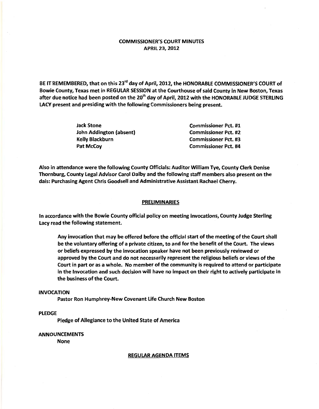# COMMISSIONER'S COURT MINUTES APRIL 23, 2012

BE IT REMEMBERED, that on this 23<sup>rd</sup> day of April, 2012, the HONORABLE COMMISSIONER'S COURT of Bowie County, Texas met in REGULAR SESSION at the Courthouse of said County in New Boston, Texas after due notice had been posted on the 20<sup>th</sup> day of April, 2012 with the HONORABLE JUDGE STERLING LACY present and presiding with the following Commissioners being present.

> Jack Stone John Addington (absent) Kelly Blackburn Pat McCoy

Commissioner Pet. #1 Commissioner Pet. #2 Commissioner Pet. #3 Commissioner Pet. #4

Also in attendance were the following County Officials: Auditor William Tye, County Clerk Denise Thornburg, County Legal Advisor Carol Dalby and the following staff members also present on the dais: Purchasing Agent Chris Goodsell and Administrative Assistant Rachael Cherry.

#### PRELIMINARIES

In accordance with the Bowie County official policy on meeting invocations, County Judge Sterling Lacy read the following statement.

Any invocation that may be offered before the official start of the meeting of the Court shall be the voluntary offering of a private citizen, to and for the benefit of the Court. The views or beliefs expressed by the invocation speaker have not been previously reviewed or approved by the Court and do not necessarily represent the religious beliefs or views of the Court in part or as a whole. No member of the community is required to attend or participate in the Invocation and such decision will have no impact on their right to actively participate in the business of the Court.

#### INVOCATION

Pastor Ron Humphrey-New Covenant Life Church New Boston

## PLEDGE

Pledge of Allegiance to the United State of America

## ANNOUNCEMENTS

None

REGULAR AGENDA ITEMS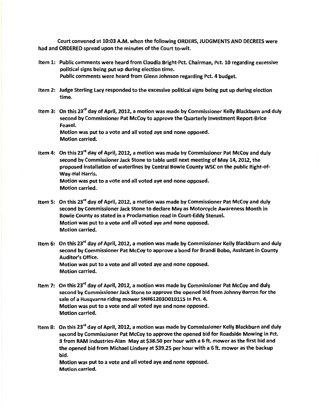Court convened at 10:03 A.M. when the following ORDERS, JUDGMENTS AND DECREES were had and ORDERED spread upon the minutes of the Court to-wit.

- Item 1: Public comments were heard from Claudia Bright-Pet. Chairman, Pet. 10 regarding excessive political signs being put up during election time. Public comments were heard from Glenn Johnson regarding Pct. 4 budget.
- Item 2: Judge Sterling Lacy responded to the excessive political signs being put up during election time.
- Item 3: On this 23<sup>rd</sup> day of April, 2012, a motion was made by Commissioner Kelly Blackburn and duly second by Commissioner Pat McCoy to approve the Quarterly Investment Report-Brice Feasel. Motion was put to a vote and all voted aye and none opposed. Motion carried.
- Item 4: On this 23<sup>rd</sup> day of April, 2012, a motion was made by Commissioner Pat McCoy and duly second by Commissioner Jack Stone to table until next meeting of May 14, 2012, the proposed installation of waterlines by Central Bowie County WSC on· the public Right-of-Way-Hal Harris. Motion was put to a vote and all voted aye and none opposed. Motion carried.
- Item 5: On this 23<sup>rd</sup> day of April, 2012, a motion was made by Commissioner Pat McCoy and duly second by Commissioner Jack Stone to declare May as Motorcycle Awareness Month in Bowie County as stated in a Proclamation read in Court-Eddy Stenzel. Motion was put to a vote and all voted aye and none opposed. Motion carried.
- Item 6: On this 23<sup>rd</sup> day of April, 2012, a motion was made by Commissioner Kelly Blackburn and duly second by Commissioner Pat McCoy to approve a bond for Brandi Bobo, Assistant in County Auditor's Office. Motion was put to a vote and all voted aye and none opposed. Motion carried.
- Item 7: On this 23<sup>rd</sup> day of April, 2012, a motion was made by Commissioner Pat McCoy and duly second by Commissioner Jack Stone to approve the opened bid from Johnny Barron for the sale of a Husqvarna riding mower SN#612030010115 in Pet. 4. Motion was put to a vote and all voted aye and none opposed. Motion carried.
- Item 8: On this 23<sup>rd</sup> day of April, 2012, a motion was made by Commissioner Kelly Blackburn and duly second by Commissioner Pat McCoy to approve the opened bid for Roadside Mowing in Pet. 3 from RAM Industries-Alan May at \$38.50 per hour with a 6ft. mower as the first bid and the opened bid from Michael Lindsey at \$39.25 per hour with a 6 ft. mower as the backup bid.

Motion was put to a vote and all voted aye and none opposed. Motion carried.